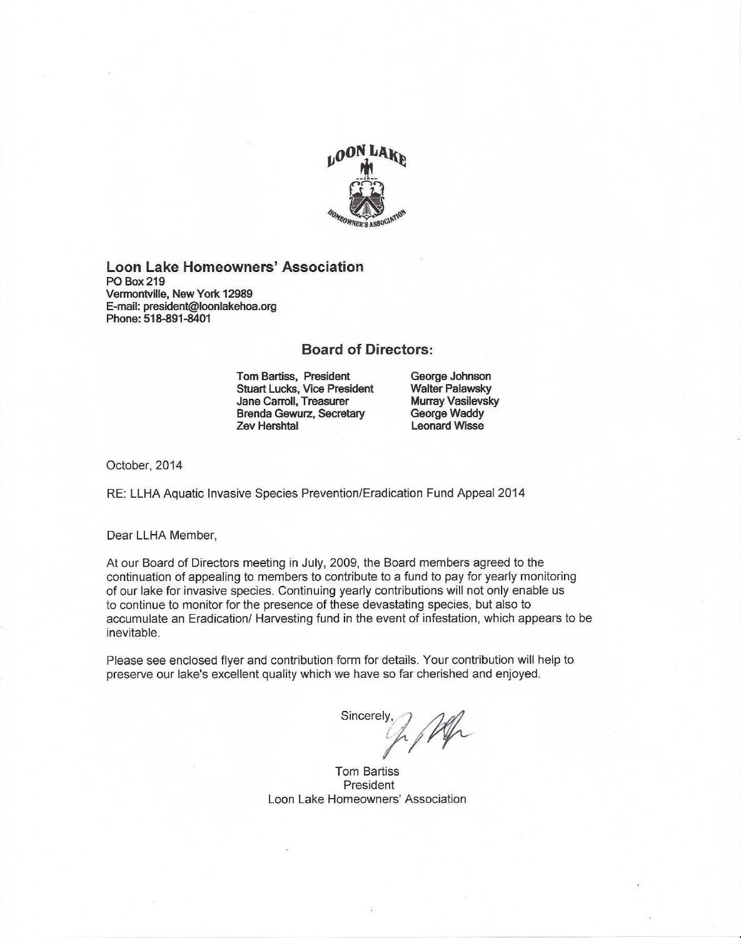

#### Loon Lake Homeowners' Association **PO Box 219** Vermontville, New York 12989 E-mail: president@loonlakehoa.org Phone: 518-891-8401

#### **Board of Directors:**

**Tom Bartiss, President Stuart Lucks, Vice President** Jane Carroll, Treasurer **Brenda Gewurz, Secretary Zev Hershtal** 

George Johnson **Walter Palawsky** Murrav Vasilevsky George Waddy **Leonard Wisse** 

October, 2014

RE: LLHA Aquatic Invasive Species Prevention/Eradication Fund Appeal 2014

Dear LLHA Member,

At our Board of Directors meeting in July, 2009, the Board members agreed to the continuation of appealing to members to contribute to a fund to pay for yearly monitoring of our lake for invasive species. Continuing yearly contributions will not only enable us to continue to monitor for the presence of these devastating species, but also to accumulate an Eradication/ Harvesting fund in the event of infestation, which appears to be inevitable.

Please see enclosed flyer and contribution form for details. Your contribution will help to preserve our lake's excellent quality which we have so far cherished and enjoyed.

Sincerely.

**Tom Bartiss** President Loon Lake Homeowners' Association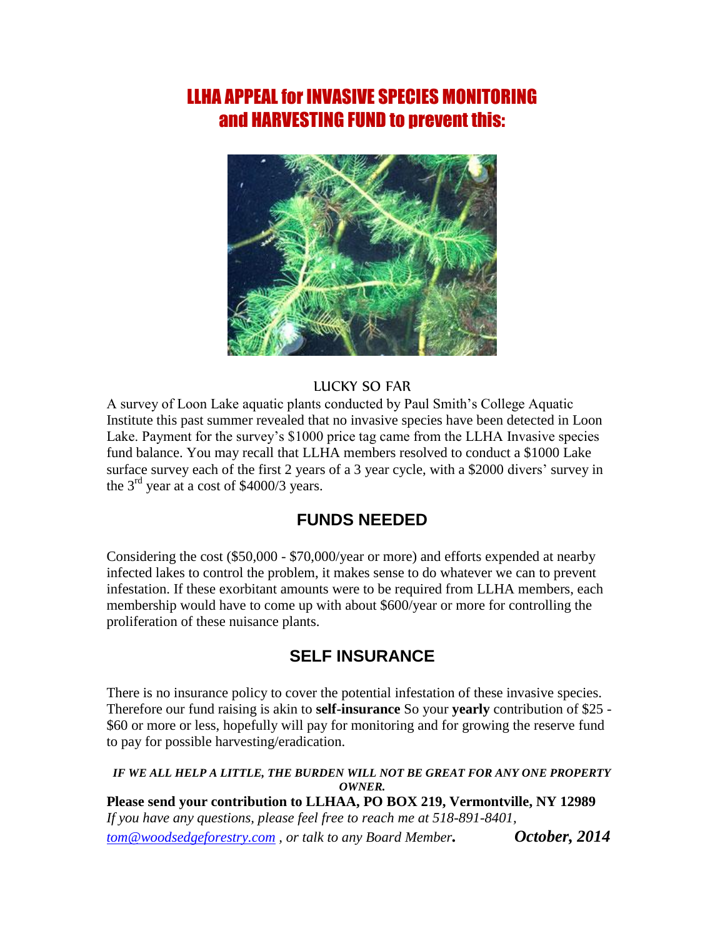# LLHA APPEAL for INVASIVE SPECIES MONITORING and HARVESTING FUND to prevent this:



### LUCKY SO FAR

A survey of Loon Lake aquatic plants conducted by Paul Smith's College Aquatic Institute this past summer revealed that no invasive species have been detected in Loon Lake. Payment for the survey's \$1000 price tag came from the LLHA Invasive species fund balance. You may recall that LLHA members resolved to conduct a \$1000 Lake surface survey each of the first 2 years of a 3 year cycle, with a \$2000 divers' survey in the  $3<sup>rd</sup>$  year at a cost of \$4000/3 years.

## **FUNDS NEEDED**

Considering the cost (\$50,000 - \$70,000/year or more) and efforts expended at nearby infected lakes to control the problem, it makes sense to do whatever we can to prevent infestation. If these exorbitant amounts were to be required from LLHA members, each membership would have to come up with about \$600/year or more for controlling the proliferation of these nuisance plants.

## **SELF INSURANCE**

There is no insurance policy to cover the potential infestation of these invasive species. Therefore our fund raising is akin to **self-insurance** So your **yearly** contribution of \$25 - \$60 or more or less, hopefully will pay for monitoring and for growing the reserve fund to pay for possible harvesting/eradication.

#### *IF WE ALL HELP A LITTLE, THE BURDEN WILL NOT BE GREAT FOR ANY ONE PROPERTY OWNER.* **Please send your contribution to LLHAA, PO BOX 219, Vermontville, NY 12989** *If you have any questions, please feel free to reach me at 518-891-8401, [tom@woodsedgeforestry.com](mailto:tom@woodsedgeforestry.com) , or talk to any Board Member. October, 2014*